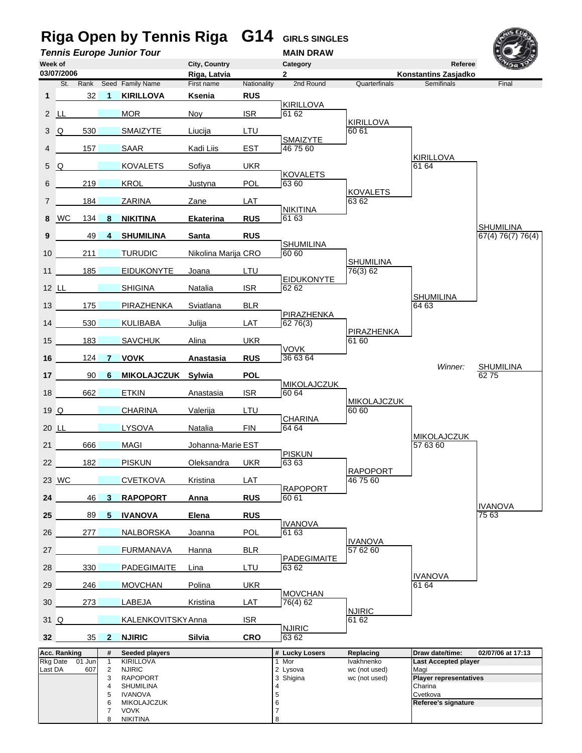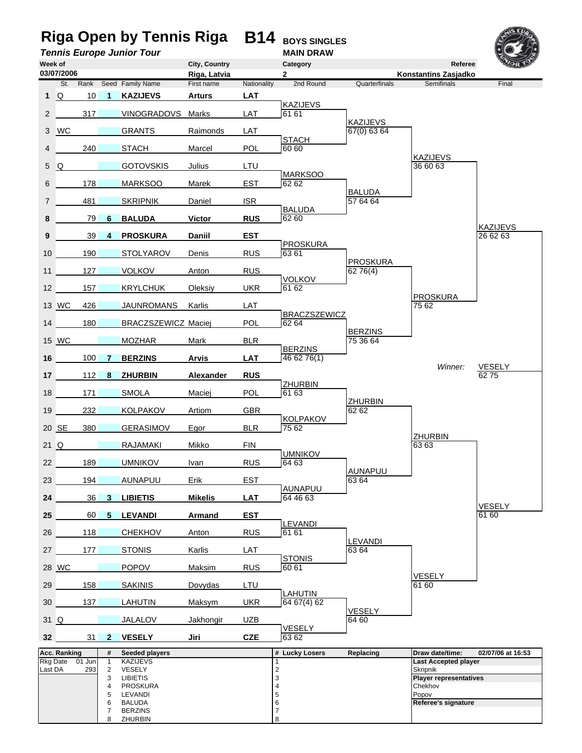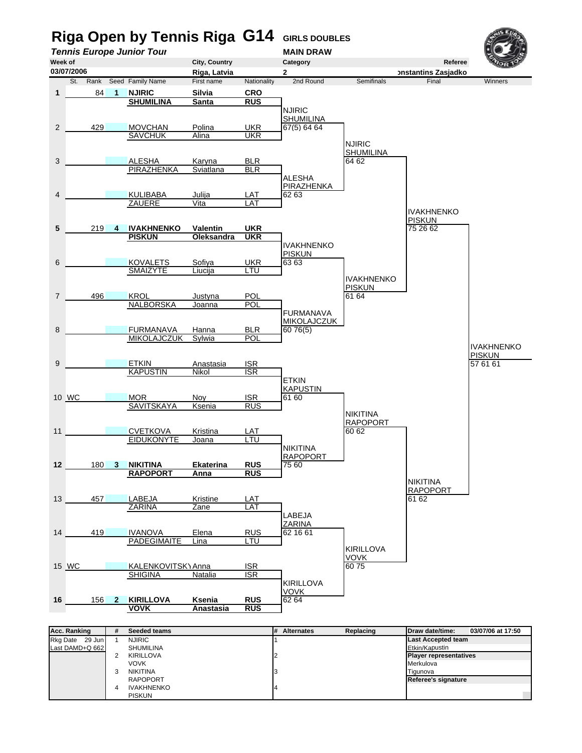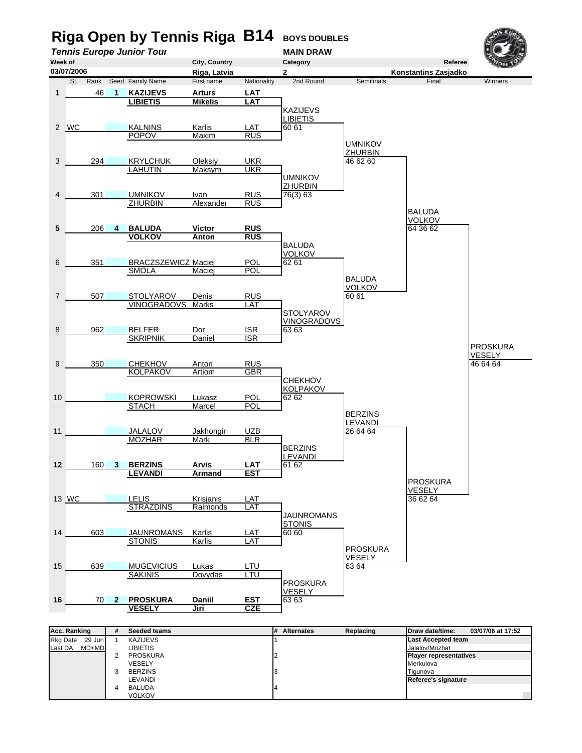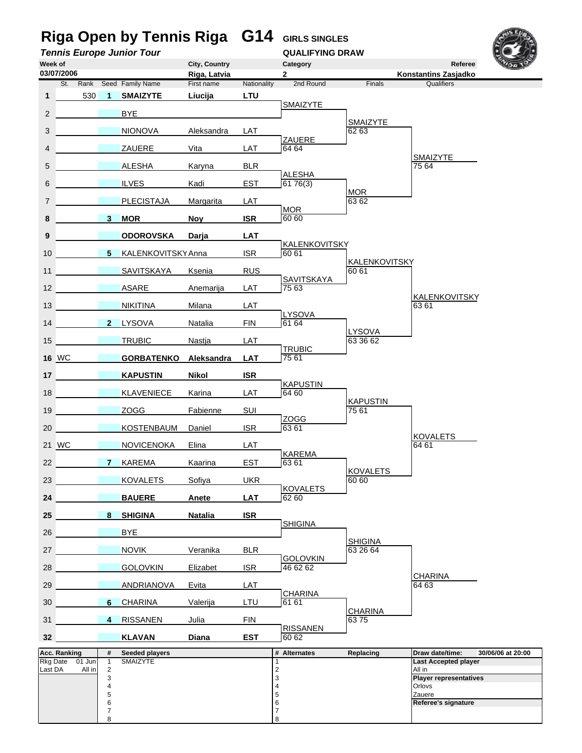